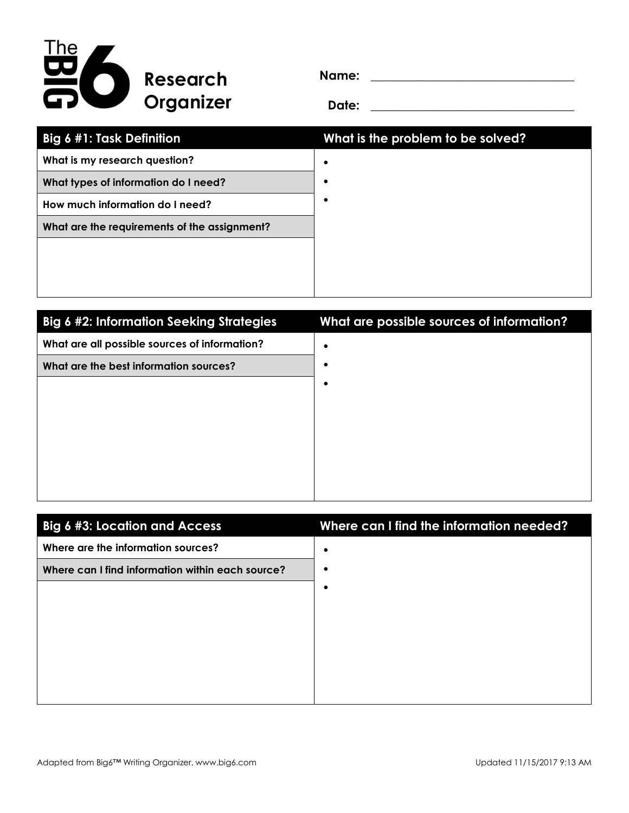

**Name: \_\_\_\_\_\_\_\_\_\_\_\_\_\_\_\_\_\_\_\_\_\_\_\_\_\_\_\_\_\_\_\_\_**

**Date: \_\_\_\_\_\_\_\_\_\_\_\_\_\_\_\_\_\_\_\_\_\_\_\_\_\_\_\_\_\_\_\_\_**

| <b>Big 6 #1: Task Definition</b>             | What is the problem to be solved? |
|----------------------------------------------|-----------------------------------|
| What is my research question?                |                                   |
| What types of information do I need?         |                                   |
| How much information do I need?              |                                   |
| What are the requirements of the assignment? |                                   |
|                                              |                                   |
|                                              |                                   |
|                                              |                                   |

| <b>Big 6 #2: Information Seeking Strategies</b> | What are possible sources of information? |
|-------------------------------------------------|-------------------------------------------|
| What are all possible sources of information?   |                                           |
| What are the best information sources?          |                                           |
|                                                 |                                           |
|                                                 |                                           |
|                                                 |                                           |
|                                                 |                                           |
|                                                 |                                           |
|                                                 |                                           |

| <b>Big 6 #3: Location and Access</b>             | Where can I find the information needed? |
|--------------------------------------------------|------------------------------------------|
| Where are the information sources?               | ٠                                        |
| Where can I find information within each source? | ٠                                        |
|                                                  | ٠                                        |
|                                                  |                                          |
|                                                  |                                          |
|                                                  |                                          |
|                                                  |                                          |
|                                                  |                                          |